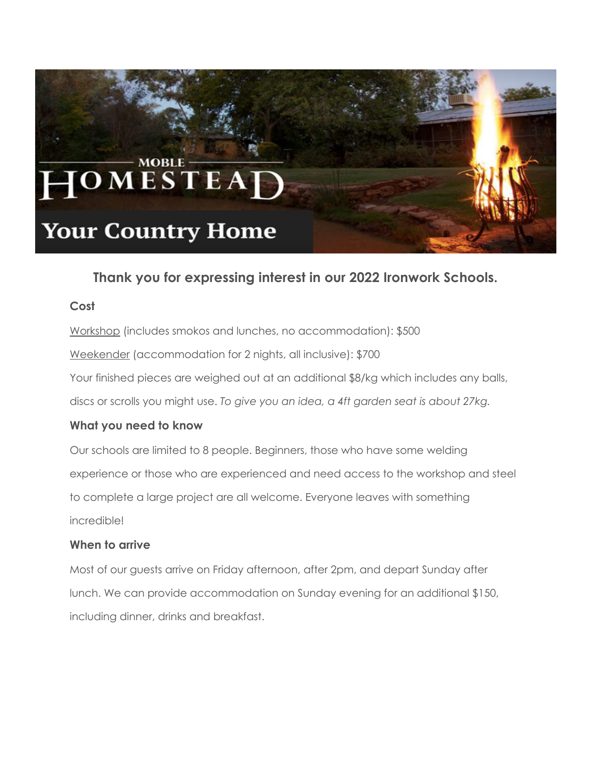

# **Thank you for expressing interest in our 2022 Ironwork Schools.**

# **Cost**

Workshop (includes smokos and lunches, no accommodation): \$500 Weekender (accommodation for 2 nights, all inclusive): \$700 Your finished pieces are weighed out at an additional \$8/kg which includes any balls, discs or scrolls you might use. *To give you an idea, a 4ft garden seat is about 27kg.*

# **What you need to know**

Our schools are limited to 8 people. Beginners, those who have some welding experience or those who are experienced and need access to the workshop and steel to complete a large project are all welcome. Everyone leaves with something incredible!

# **When to arrive**

Most of our guests arrive on Friday afternoon, after 2pm, and depart Sunday after lunch. We can provide accommodation on Sunday evening for an additional \$150, including dinner, drinks and breakfast.